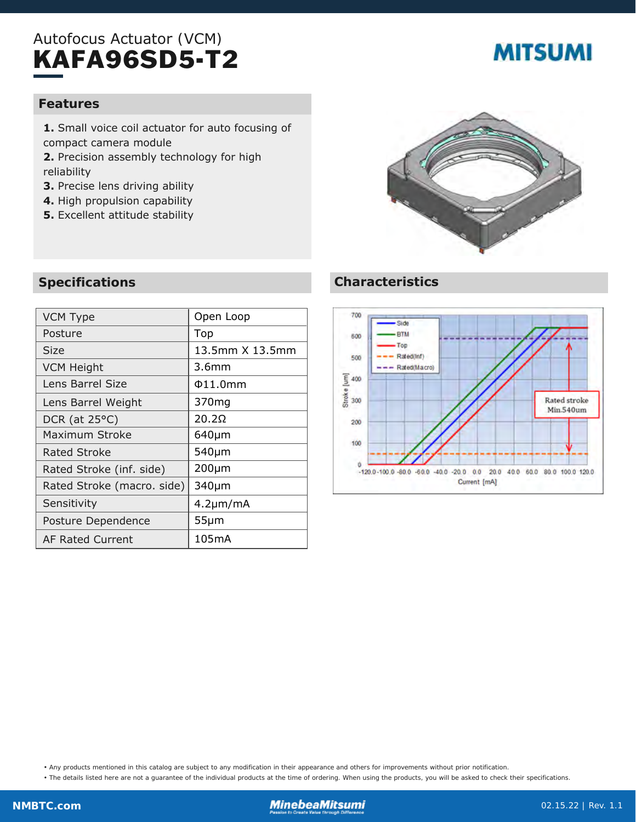## Autofocus Actuator (VCM) KAFA96SD5-T2

# **MITSUMI**

#### **Features**

- **1.** Small voice coil actuator for auto focusing of compact camera module
- **2.** Precision assembly technology for high reliability
- **3.** Precise lens driving ability
- **4.** High propulsion capability
- **5.** Excellent attitude stability

## **Specifications**

| <b>VCM Type</b>            | Open Loop       |
|----------------------------|-----------------|
| Posture                    | Top             |
| Size                       | 13.5mm X 13.5mm |
| <b>VCM Height</b>          | 3.6mm           |
| Lens Barrel Size           | $\Phi$ 11.0mm   |
| Lens Barrel Weight         | 370mg           |
| DCR (at $25^{\circ}$ C)    | 20.2Q           |
| Maximum Stroke             | $640 \mu m$     |
| Rated Stroke               | 540µm           |
| Rated Stroke (inf. side)   | $200 \mu m$     |
| Rated Stroke (macro. side) | 340µm           |
| Sensitivity                | $4.2 \mu m/mA$  |
| Posture Dependence         | $55 \mu m$      |
| <b>AF Rated Current</b>    | 105mA           |
|                            |                 |



### **Characteristics**



• Any products mentioned in this catalog are subject to any modification in their appearance and others for improvements without prior notification.

• The details listed here are not a guarantee of the individual products at the time of ordering. When using the products, you will be asked to check their specifications.